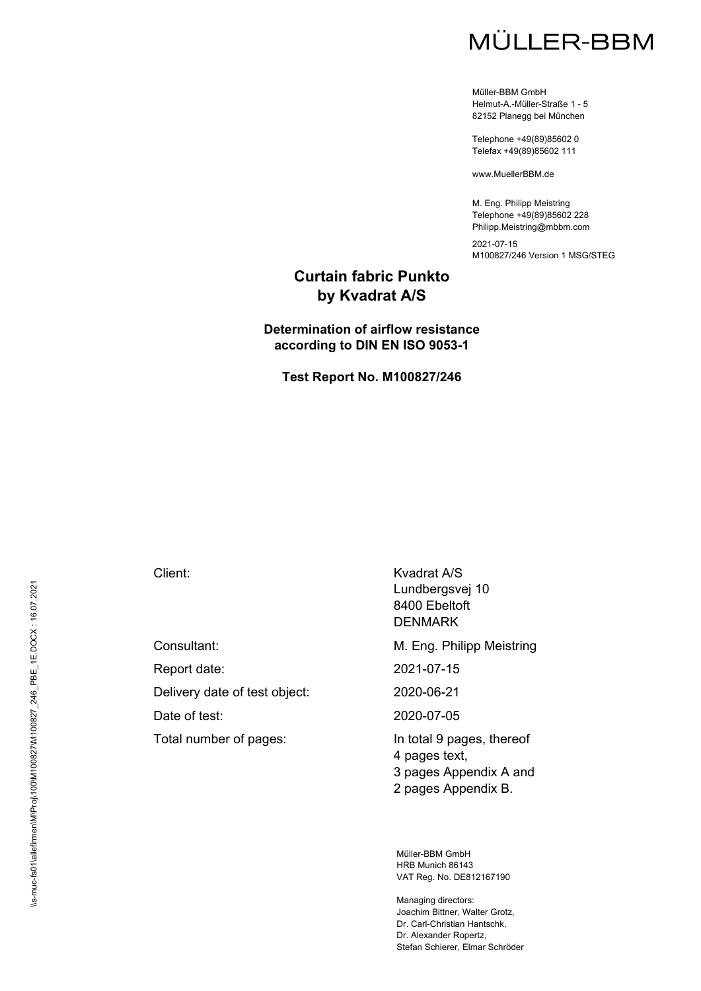# MÜLLER-BBM

Müller-BBM GmbH Helmut-A.-Müller-Straße 1 - 5 82152 Planegg bei München

Telephone +49(89)85602 0 Telefax +49(89)85602 111

www.MuellerBBM.de

M. Eng. Philipp Meistring Telephone +49(89)85602 228 Philipp.Meistring@mbbm.com

2021-07-15 M100827/246 Version 1 MSG/STEG

#### **Curtain fabric Punkto by Kvadrat A/S**

#### **Determination of airflow resistance according to DIN EN ISO 9053-1**

**Test Report No. M100827/246** 

Delivery date of test object: 2020-06-21

Total number of pages: In total 9 pages, thereof

Client: Kvadrat A/S Lundbergsvej 10 8400 Ebeltoft DENMARK

Consultant: Consultant: Consultant: Consultant: Consultant: M. Eng. Philipp Meistring

Report date: 2021-07-15

Date of test: 2020-07-05

4 pages text, 3 pages Appendix A and 2 pages Appendix B.

Müller-BBM GmbH HRB Munich 86143 VAT Reg. No. DE812167190

Managing directors: Joachim Bittner, Walter Grotz, Dr. Carl-Christian Hantschk, Dr. Alexander Ropertz, Stefan Schierer, Elmar Schröder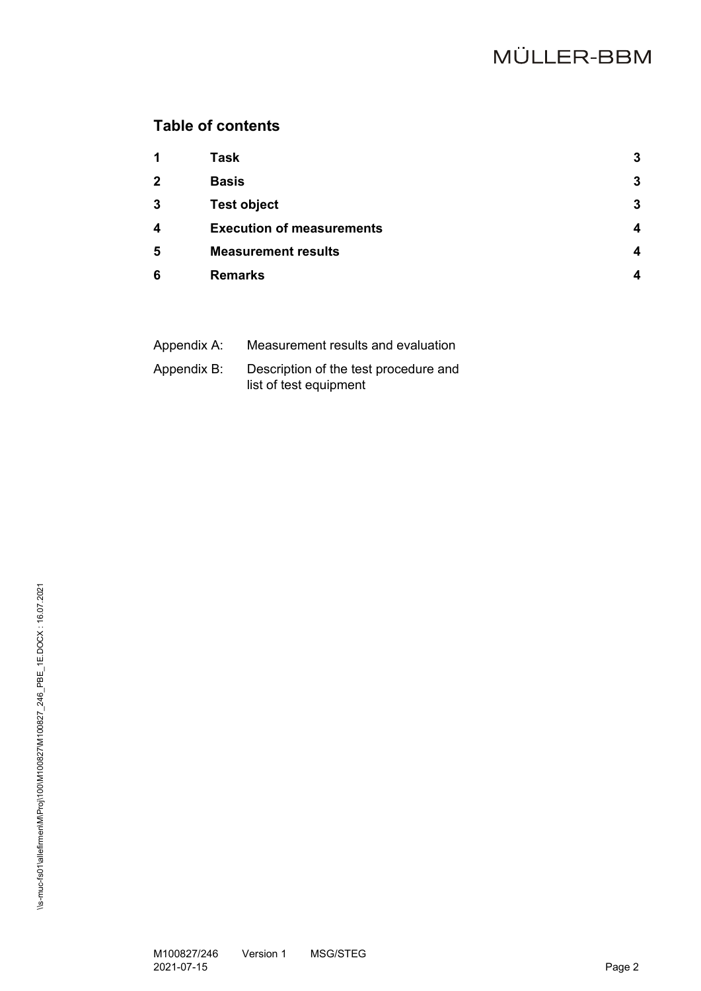## **Table of contents**

| 1                       | <b>Task</b>                      | 3                      |
|-------------------------|----------------------------------|------------------------|
| $\mathbf{2}$            | <b>Basis</b>                     | 3                      |
| 3                       | <b>Test object</b>               | 3                      |
| $\overline{\mathbf{4}}$ | <b>Execution of measurements</b> | $\boldsymbol{\Lambda}$ |
| 5                       | <b>Measurement results</b>       | $\boldsymbol{\Lambda}$ |
| 6                       | <b>Remarks</b>                   | $\boldsymbol{\Lambda}$ |

| Appendix A: | Measurement results and evaluation                              |
|-------------|-----------------------------------------------------------------|
| Appendix B: | Description of the test procedure and<br>list of test equipment |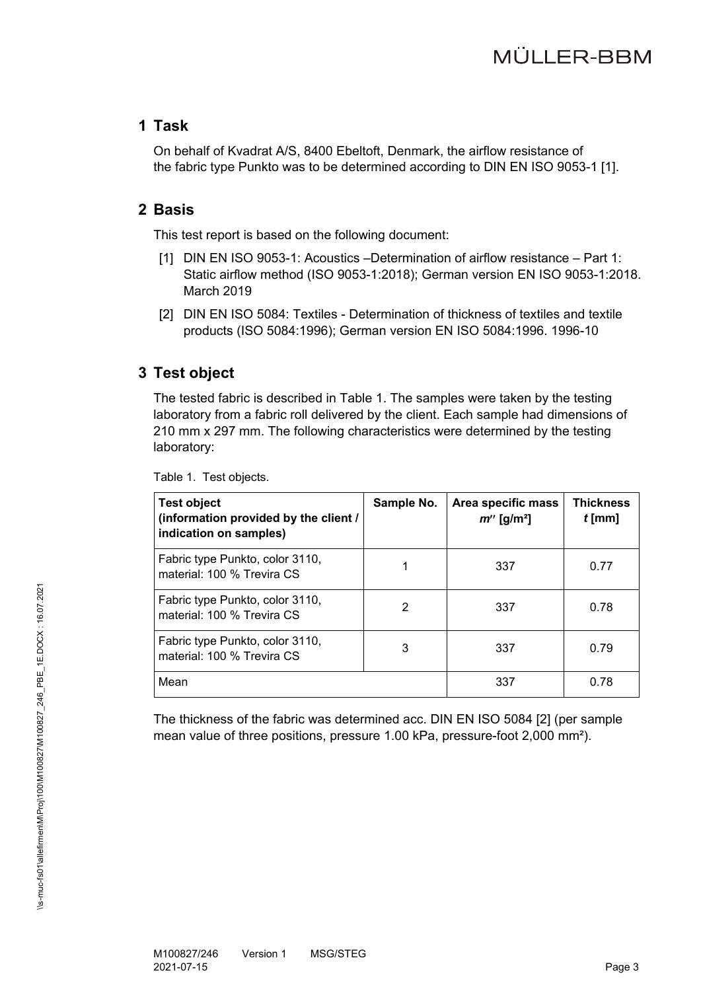#### **1 Task**

On behalf of Kvadrat A/S, 8400 Ebeltoft, Denmark, the airflow resistance of the fabric type Punkto was to be determined according to DIN EN ISO 9053-1 [1].

#### **2 Basis**

This test report is based on the following document:

- [1] DIN EN ISO 9053-1: Acoustics –Determination of airflow resistance Part 1: Static airflow method (ISO 9053-1:2018); German version EN ISO 9053-1:2018. March 2019
- [2] DIN EN ISO 5084: Textiles Determination of thickness of textiles and textile products (ISO 5084:1996); German version EN ISO 5084:1996. 1996-10

## **3 Test object**

The tested fabric is described in Table 1. The samples were taken by the testing laboratory from a fabric roll delivered by the client. Each sample had dimensions of 210 mm x 297 mm. The following characteristics were determined by the testing laboratory:

| <b>Test object</b><br>(information provided by the client /<br>indication on samples) | Sample No. | Area specific mass<br>$m''$ [g/m <sup>2</sup> ] | <b>Thickness</b><br>$t$ [mm] |
|---------------------------------------------------------------------------------------|------------|-------------------------------------------------|------------------------------|
| Fabric type Punkto, color 3110,<br>material: 100 % Trevira CS                         |            | 337                                             | 0.77                         |
| Fabric type Punkto, color 3110,<br>material: 100 % Trevira CS                         | 2          | 337                                             | 0.78                         |
| Fabric type Punkto, color 3110,<br>material: 100 % Trevira CS                         | 3          | 337                                             | 0.79                         |
| Mean                                                                                  |            | 337                                             | 0.78                         |

Table 1. Test objects.

The thickness of the fabric was determined acc. DIN EN ISO 5084 [2] (per sample mean value of three positions, pressure 1.00 kPa, pressure-foot 2,000 mm²).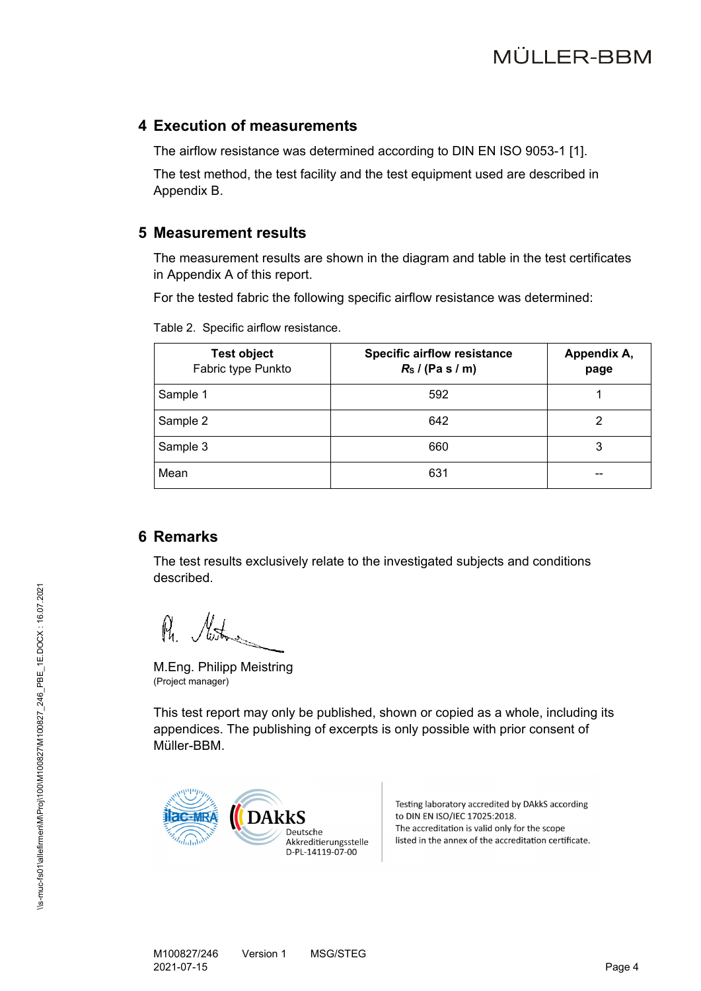#### **4 Execution of measurements**

The airflow resistance was determined according to DIN EN ISO 9053-1 [1].

The test method, the test facility and the test equipment used are described in Appendix B.

#### **5 Measurement results**

The measurement results are shown in the diagram and table in the test certificates in Appendix A of this report.

For the tested fabric the following specific airflow resistance was determined:

| <b>Test object</b><br>Fabric type Punkto | <b>Specific airflow resistance</b><br>$Rs$ / (Pa s / m) | Appendix A,<br>page |
|------------------------------------------|---------------------------------------------------------|---------------------|
| Sample 1                                 | 592                                                     |                     |
| Sample 2                                 | 642                                                     |                     |
| Sample 3                                 | 660                                                     | 3                   |
| Mean                                     | 631                                                     | --                  |

Table 2. Specific airflow resistance.

### **6 Remarks**

The test results exclusively relate to the investigated subjects and conditions described.

 $M_{\rm t}$ 

M.Eng. Philipp Meistring (Project manager)

This test report may only be published, shown or copied as a whole, including its appendices. The publishing of excerpts is only possible with prior consent of Müller-BBM.



Testing laboratory accredited by DAkkS according to DIN EN ISO/IEC 17025:2018. The accreditation is valid only for the scope listed in the annex of the accreditation certificate.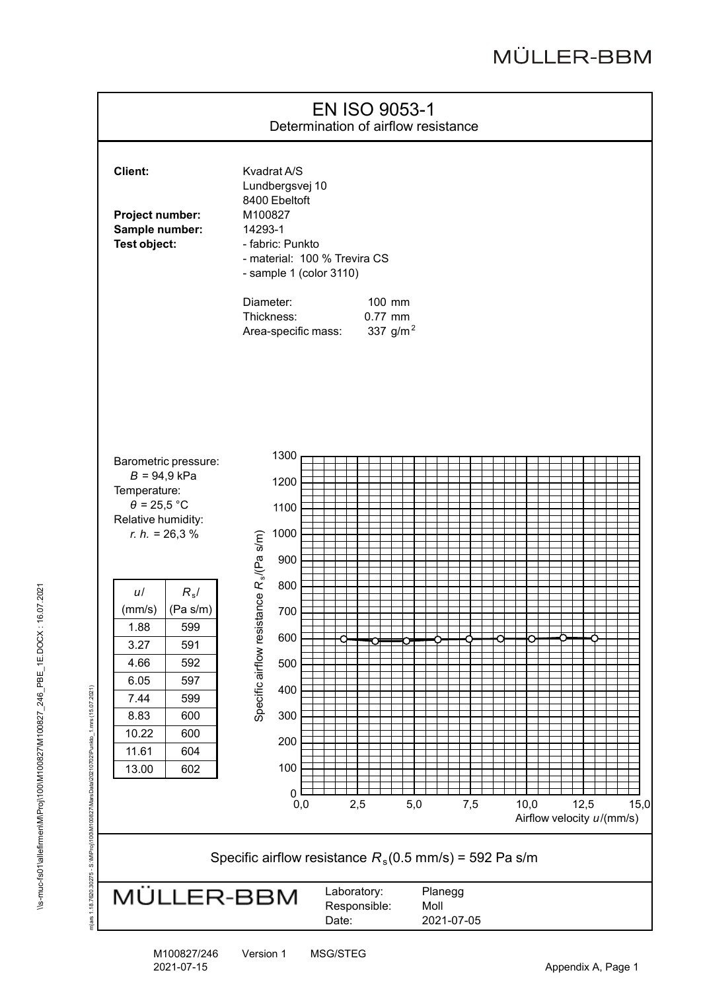

M100827/246 Version 1 MSG/STEG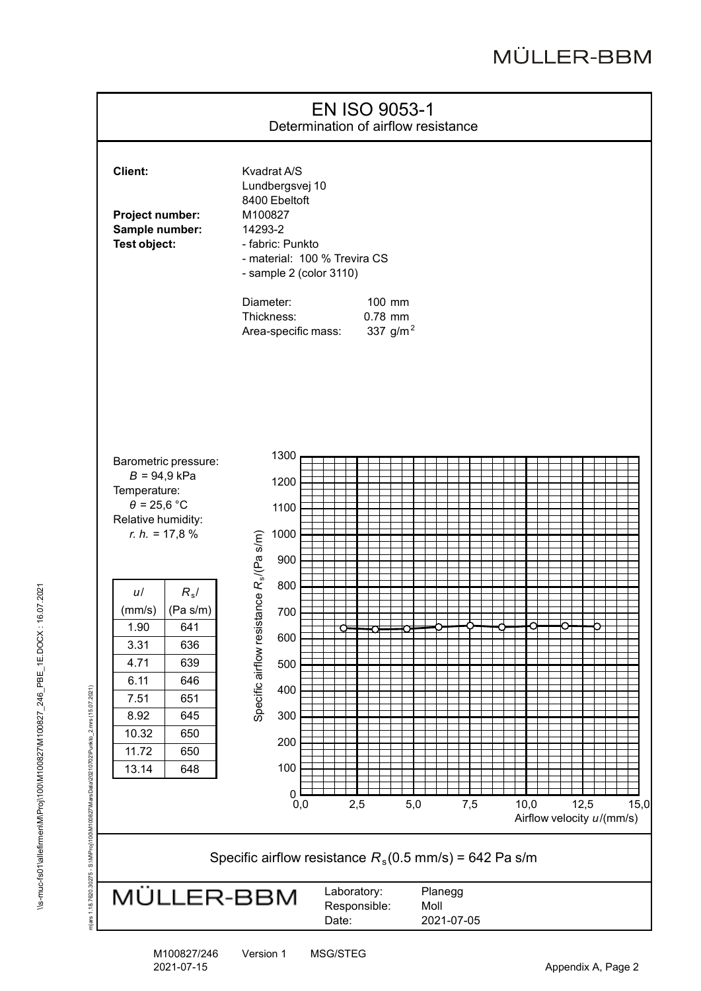

M100827/246 Version 1 MSG/STEG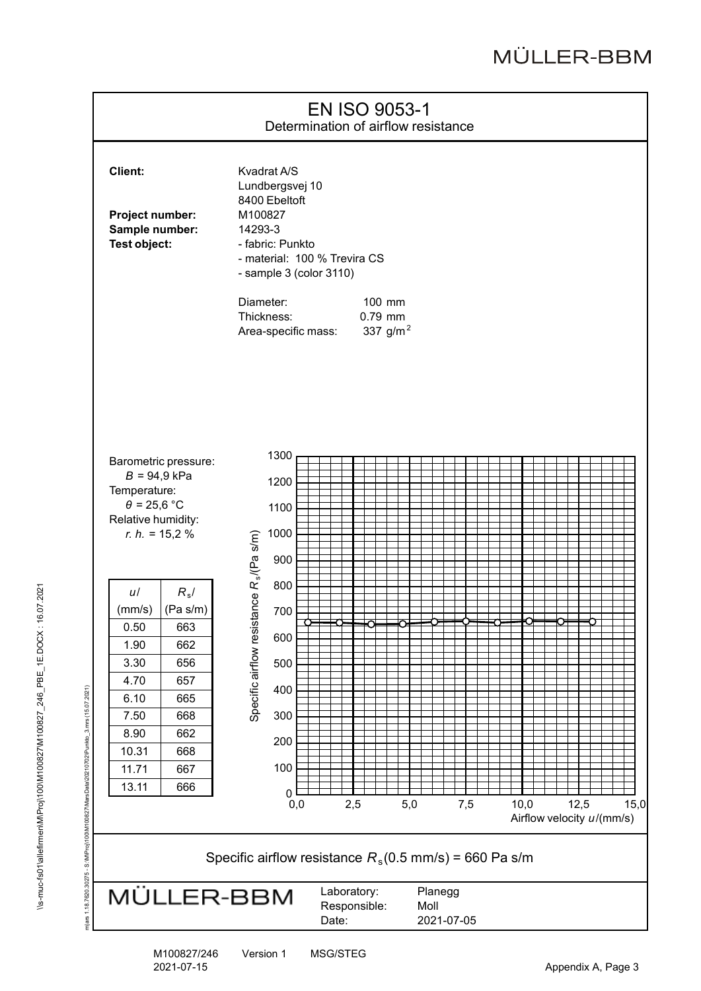

M100827/246 Version 1 MSG/STEG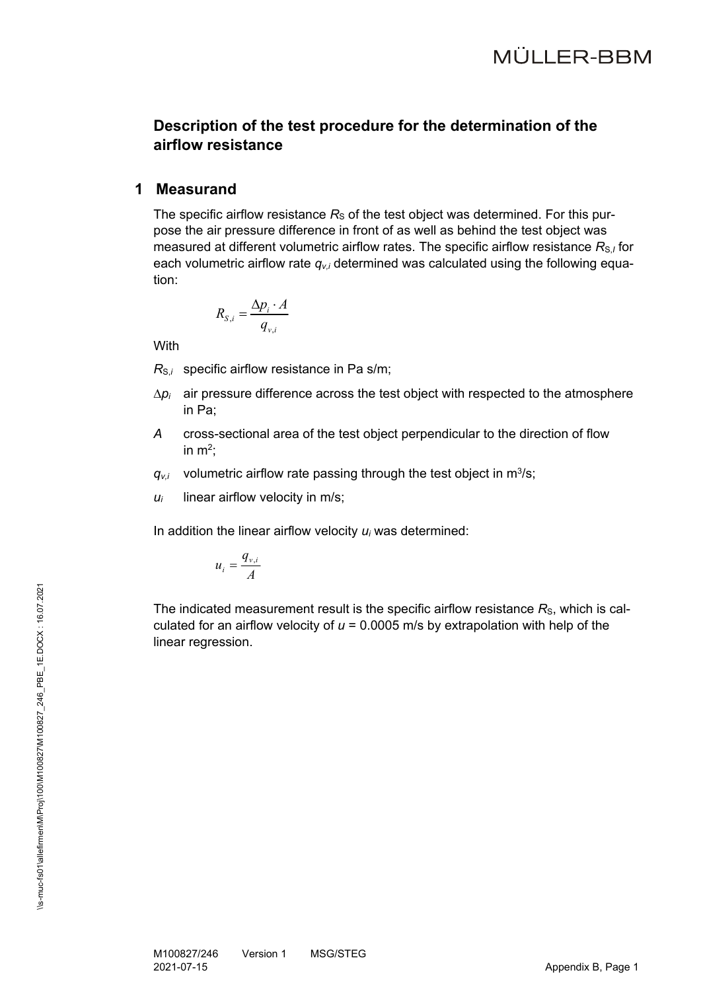## **Description of the test procedure for the determination of the airflow resistance**

#### **1Measurand**

The specific airflow resistance  $R<sub>S</sub>$  of the test object was determined. For this purpose the air pressure difference in front of as well as behind the test object was measured at different volumetric airflow rates. The specific airflow resistance  $R_{S,I}$  for each volumetric airflow rate *qv,i* determined was calculated using the following equation:

$$
R_{S,i} = \frac{\Delta p_i \cdot A}{q_{v,i}}
$$

**With** 

 $R_{S,i}$  specific airflow resistance in Pa s/m;

- $\Delta p_i$  air pressure difference across the test object with respected to the atmosphere in Pa;
- *A* cross-sectional area of the test object perpendicular to the direction of flow in  $m^2$ :
- $q_{v,i}$  volumetric airflow rate passing through the test object in  $m^3/s$ ;
- $u_i$  linear airflow velocity in m/s;

In addition the linear airflow velocity *ui* was determined:

$$
u_i = \frac{q_{v,i}}{A}
$$

The indicated measurement result is the specific airflow resistance  $R<sub>s</sub>$ , which is calculated for an airflow velocity of *u* = 0.0005 m/s by extrapolation with help of the linear regression.